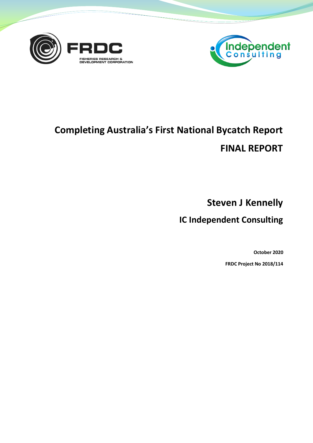



# **Completing Australia's First National Bycatch Report FINAL REPORT**

**Steven J Kennelly**

**IC Independent Consulting**

**October 2020**

**FRDC Project No 2018/114**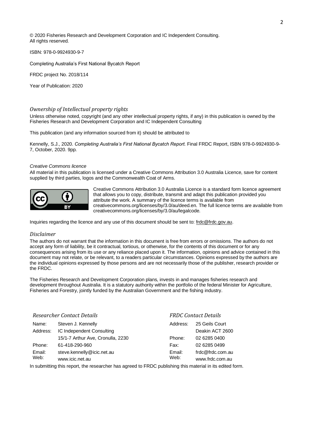© 2020 Fisheries Research and Development Corporation and IC Independent Consulting. All rights reserved.

ISBN: 978-0-9924930-9-7

Completing Australia's First National Bycatch Report

FRDC project No. 2018/114

Year of Publication: 2020

#### *Ownership of Intellectual property rights*

Unless otherwise noted, copyright (and any other intellectual property rights, if any) in this publication is owned by the Fisheries Research and Development Corporation and IC Independent Consulting

This publication (and any information sourced from it) should be attributed to

Kennelly, S.J., 2020. *Completing Australia's First National Bycatch Report.* Final FRDC Report, ISBN 978-0-9924930-9- 7, October, 2020. 9pp.

#### *Creative Commons licence*

All material in this publication is licensed under a Creative Commons Attribution 3.0 Australia Licence, save for content supplied by third parties, logos and the Commonwealth Coat of Arms.



Creative Commons Attribution 3.0 Australia Licence is a standard form licence agreement that allows you to copy, distribute, transmit and adapt this publication provided you attribute the work. A summary of the licence terms is available from creativecommons.org/licenses/by/3.0/au/deed.en. The full licence terms are available from creativecommons.org/licenses/by/3.0/au/legalcode.

Inquiries regarding the licence and any use of this document should be sent to: [frdc@frdc.gov.au.](mailto:frdc@frdc.gov.au)

#### *Disclaimer*

The authors do not warrant that the information in this document is free from errors or omissions. The authors do not accept any form of liability, be it contractual, tortious, or otherwise, for the contents of this document or for any consequences arising from its use or any reliance placed upon it. The information, opinions and advice contained in this document may not relate, or be relevant, to a readers particular circumstances. Opinions expressed by the authors are the individual opinions expressed by those persons and are not necessarily those of the publisher, research provider or the FRDC.

The Fisheries Research and Development Corporation plans, invests in and manages fisheries research and development throughout Australia. It is a statutory authority within the portfolio of the federal Minister for Agriculture, Fisheries and Forestry, jointly funded by the Australian Government and the fishing industry.

| <b>Researcher Contact Details</b> |                                                                                                                                                                                                                                   |          | <b>FRDC Contact Details</b> |  |
|-----------------------------------|-----------------------------------------------------------------------------------------------------------------------------------------------------------------------------------------------------------------------------------|----------|-----------------------------|--|
| Name:                             | Steven J. Kennelly                                                                                                                                                                                                                | Address: | 25 Geils Court              |  |
| Address:                          | IC Independent Consulting                                                                                                                                                                                                         |          | Deakin ACT 2600             |  |
|                                   | 15/1-7 Arthur Ave, Cronulla, 2230                                                                                                                                                                                                 | Phone:   | 02 6285 0400                |  |
| Phone:                            | 61-418-290-960                                                                                                                                                                                                                    | Fax:     | 02 6285 0499                |  |
| Email:<br>Web:                    | steve.kennelly@icic.net.au                                                                                                                                                                                                        | Email:   | frdc@frdc.com.au            |  |
|                                   | www.icic.net.au                                                                                                                                                                                                                   | Web:     | www.frdc.com.au             |  |
|                                   | $\mathbf{a}$ , and a set of the set of the set of the set of the set of the set of the set of the set of the set of the set of the set of the set of the set of the set of the set of the set of the set of the set of the set of |          |                             |  |

In submitting this report, the researcher has agreed to FRDC publishing this material in its edited form.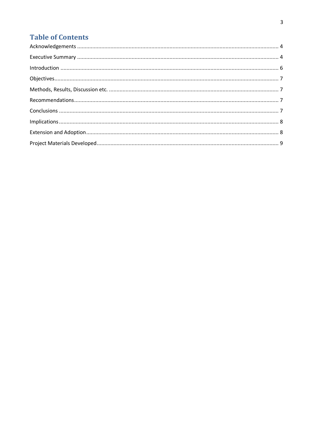# **Table of Contents**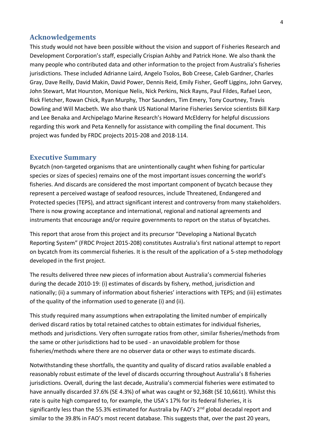#### <span id="page-3-0"></span>**Acknowledgements**

This study would not have been possible without the vision and support of Fisheries Research and Development Corporation's staff, especially Crispian Ashby and Patrick Hone. We also thank the many people who contributed data and other information to the project from Australia's fisheries jurisdictions. These included Adrianne Laird, Angelo Tsolos, Bob Creese, Caleb Gardner, Charles Gray, Dave Reilly, David Makin, David Power, Dennis Reid, Emily Fisher, Geoff Liggins, John Garvey, John Stewart, Mat Hourston, Monique Nelis, Nick Perkins, Nick Rayns, Paul Fildes, Rafael Leon, Rick Fletcher, Rowan Chick, Ryan Murphy, Thor Saunders, Tim Emery, Tony Courtney, Travis Dowling and Will Macbeth. We also thank US National Marine Fisheries Service scientists Bill Karp and Lee Benaka and Archipelago Marine Research's Howard McElderry for helpful discussions regarding this work and Peta Kennelly for assistance with compiling the final document. This project was funded by FRDC projects 2015-208 and 2018-114.

#### <span id="page-3-1"></span>**Executive Summary**

Bycatch (non-targeted organisms that are unintentionally caught when fishing for particular species or sizes of species) remains one of the most important issues concerning the world's fisheries. And discards are considered the most important component of bycatch because they represent a perceived wastage of seafood resources, include Threatened, Endangered and Protected species (TEPS), and attract significant interest and controversy from many stakeholders. There is now growing acceptance and international, regional and national agreements and instruments that encourage and/or require governments to report on the status of bycatches.

This report that arose from this project and its precursor "Developing a National Bycatch Reporting System" (FRDC Project 2015-208) constitutes Australia's first national attempt to report on bycatch from its commercial fisheries. It is the result of the application of a 5-step methodology developed in the first project.

The results delivered three new pieces of information about Australia's commercial fisheries during the decade 2010-19: (i) estimates of discards by fishery, method, jurisdiction and nationally; (ii) a summary of information about fisheries' interactions with TEPS; and (iii) estimates of the quality of the information used to generate (i) and (ii).

This study required many assumptions when extrapolating the limited number of empirically derived discard ratios by total retained catches to obtain estimates for individual fisheries, methods and jurisdictions. Very often surrogate ratios from other, similar fisheries/methods from the same or other jurisdictions had to be used - an unavoidable problem for those fisheries/methods where there are no observer data or other ways to estimate discards.

Notwithstanding these shortfalls, the quantity and quality of discard ratios available enabled a reasonably robust estimate of the level of discards occurring throughout Australia's 8 fisheries jurisdictions. Overall, during the last decade, Australia's commercial fisheries were estimated to have annually discarded 37.6% (SE 4.3%) of what was caught or 92,368t (SE 10,661t). Whilst this rate is quite high compared to, for example, the USA's 17% for its federal fisheries, it is significantly less than the 55.3% estimated for Australia by FAO's 2<sup>nd</sup> global decadal report and similar to the 39.8% in FAO's most recent database. This suggests that, over the past 20 years,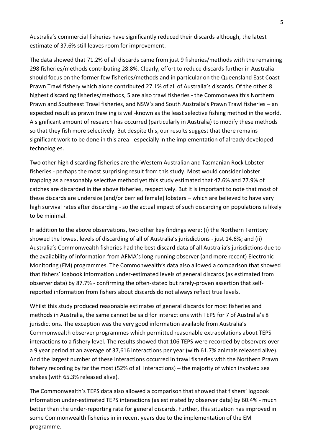Australia's commercial fisheries have significantly reduced their discards although, the latest estimate of 37.6% still leaves room for improvement.

The data showed that 71.2% of all discards came from just 9 fisheries/methods with the remaining 298 fisheries/methods contributing 28.8%. Clearly, effort to reduce discards further in Australia should focus on the former few fisheries/methods and in particular on the Queensland East Coast Prawn Trawl fishery which alone contributed 27.1% of all of Australia's discards. Of the other 8 highest discarding fisheries/methods, 5 are also trawl fisheries - the Commonwealth's Northern Prawn and Southeast Trawl fisheries, and NSW's and South Australia's Prawn Trawl fisheries – an expected result as prawn trawling is well-known as the least selective fishing method in the world. A significant amount of research has occurred (particularly in Australia) to modify these methods so that they fish more selectively. But despite this, our results suggest that there remains significant work to be done in this area - especially in the implementation of already developed technologies.

Two other high discarding fisheries are the Western Australian and Tasmanian Rock Lobster fisheries - perhaps the most surprising result from this study. Most would consider lobster trapping as a reasonably selective method yet this study estimated that 47.6% and 77.9% of catches are discarded in the above fisheries, respectively. But it is important to note that most of these discards are undersize (and/or berried female) lobsters – which are believed to have very high survival rates after discarding - so the actual impact of such discarding on populations is likely to be minimal.

In addition to the above observations, two other key findings were: (i) the Northern Territory showed the lowest levels of discarding of all of Australia's jurisdictions - just 14.6%; and (ii) Australia's Commonwealth fisheries had the best discard data of all Australia's jurisdictions due to the availability of information from AFMA's long-running observer (and more recent) Electronic Monitoring (EM) programmes. The Commonwealth's data also allowed a comparison that showed that fishers' logbook information under-estimated levels of general discards (as estimated from observer data) by 87.7% - confirming the often-stated but rarely-proven assertion that selfreported information from fishers about discards do not always reflect true levels.

Whilst this study produced reasonable estimates of general discards for most fisheries and methods in Australia, the same cannot be said for interactions with TEPS for 7 of Australia's 8 jurisdictions. The exception was the very good information available from Australia's Commonwealth observer programmes which permitted reasonable extrapolations about TEPS interactions to a fishery level. The results showed that 106 TEPS were recorded by observers over a 9 year period at an average of 37,616 interactions per year (with 61.7% animals released alive). And the largest number of these interactions occurred in trawl fisheries with the Northern Prawn fishery recording by far the most (52% of all interactions) – the majority of which involved sea snakes (with 65.3% released alive).

The Commonwealth's TEPS data also allowed a comparison that showed that fishers' logbook information under-estimated TEPS interactions (as estimated by observer data) by 60.4% - much better than the under-reporting rate for general discards. Further, this situation has improved in some Commonwealth fisheries in in recent years due to the implementation of the EM programme.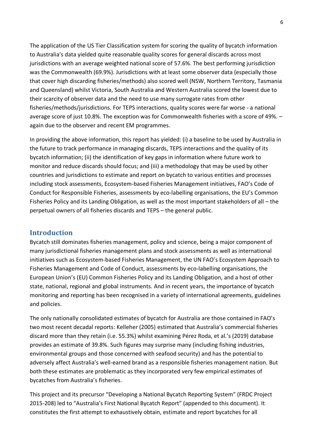The application of the US Tier Classification system for scoring the quality of bycatch information to Australia's data yielded quite reasonable quality scores for general discards across most jurisdictions with an average weighted national score of 57.6%. The best performing jurisdiction was the Commonwealth (69.9%). Jurisdictions with at least some observer data (especially those that cover high discarding fisheries/methods) also scored well (NSW, Northern Territory, Tasmania and Queensland) whilst Victoria, South Australia and Western Australia scored the lowest due to their scarcity of observer data and the need to use many surrogate rates from other fisheries/methods/jurisdictions. For TEPS interactions, quality scores were far worse - a national average score of just 10.8%. The exception was for Commonwealth fisheries with a score of 49%. – again due to the observer and recent EM programmes.

In providing the above information, this report has yielded: (i) a baseline to be used by Australia in the future to track performance in managing discards, TEPS interactions and the quality of its bycatch information; (ii) the identification of key gaps in information where future work to monitor and reduce discards should focus; and (iii) a methodology that may be used by other countries and jurisdictions to estimate and report on bycatch to various entities and processes including stock assessments, Ecosystem-based Fisheries Management initiatives, FAO's Code of Conduct for Responsible Fisheries, assessments by eco-labelling organisations, the EU's Common Fisheries Policy and its Landing Obligation, as well as the most important stakeholders of all – the perpetual owners of all fisheries discards and TEPS – the general public.

#### <span id="page-5-0"></span>**Introduction**

Bycatch still dominates fisheries management, policy and science, being a major component of many jurisdictional fisheries management plans and stock assessments as well as international initiatives such as Ecosystem-based Fisheries Management, the UN FAO's Ecosystem Approach to Fisheries Management and Code of Conduct, assessments by eco-labelling organisations, the European Union's (EU) Common Fisheries Policy and its Landing Obligation, and a host of other state, national, regional and global instruments. And in recent years, the importance of bycatch monitoring and reporting has been recognised in a variety of international agreements, guidelines and policies.

The only nationally consolidated estimates of bycatch for Australia are those contained in FAO's two most recent decadal reports: Kelleher (2005) estimated that Australia's commercial fisheries discard more than they retain (i.e. 55.3%) whilst examining Pérez Roda, et al.'s (2019) database provides an estimate of 39.8%. Such figures may surprise many (including fishing industries, environmental groups and those concerned with seafood security) and has the potential to adversely affect Australia's well-earned brand as a responsible fisheries management nation. But both these estimates are problematic as they incorporated very few empirical estimates of bycatches from Australia's fisheries.

This project and its precursor "Developing a National Bycatch Reporting System" (FRDC Project 2015-208) led to "Australia's First National Bycatch Report" (appended to this document). It constitutes the first attempt to exhaustively obtain, estimate and report bycatches for all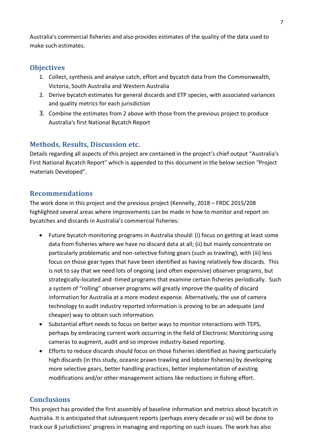Australia's commercial fisheries and also provides estimates of the quality of the data used to make such estimates.

## <span id="page-6-0"></span>**Objectives**

- 1. Collect, synthesis and analyse catch, effort and bycatch data from the Commonwealth, Victoria, South Australia and Western Australia
- 2. Derive bycatch estimates for general discards and ETP species, with associated variances and quality metrics for each jurisdiction
- 3. Combine the estimates from 2 above with those from the previous project to produce Australia's first National Bycatch Report

## <span id="page-6-1"></span>**Methods, Results, Discussion etc.**

Details regarding all aspects of this project are contained in the project's chief output "Australia's First National Bycatch Report" which is appended to this document in the below section "Project materials Developed".

#### <span id="page-6-2"></span>**Recommendations**

The work done in this project and the previous project (Kennelly, 2018 – FRDC 2015/208 highlighted several areas where improvements can be made in how to monitor and report on bycatches and discards in Australia's commercial fisheries:

- Future bycatch monitoring programs in Australia should: (i) focus on getting at least some data from fisheries where we have no discard data at all; (ii) but mainly concentrate on particularly problematic and non-selective fishing gears (such as trawling), with (iii) less focus on those gear types that have been identified as having relatively few discards. This is not to say that we need lots of ongoing (and often expensive) observer programs, but strategically-located and -timed programs that examine certain fisheries periodically. Such a system of "rolling" observer programs will greatly improve the quality of discard information for Australia at a more modest expense. Alternatively, the use of camera technology to audit industry reported information is proving to be an adequate (and cheaper) way to obtain such information.
- Substantial effort needs to focus on better ways to monitor interactions with TEPS, perhaps by embracing current work occurring in the field of Electronic Monitoring using cameras to augment, audit and so improve industry-based reporting.
- Efforts to reduce discards should focus on those fisheries identified as having particularly high discards (in this study, oceanic prawn trawling and lobster fisheries) by developing more selective gears, better handling practices, better implementation of existing modifications and/or other management actions like reductions in fishing effort.

## <span id="page-6-3"></span>**Conclusions**

This project has provided the first assembly of baseline information and metrics about bycatch in Australia. It is anticipated that subsequent reports (perhaps every decade or so) will be done to track our 8 jurisdictions' progress in managing and reporting on such issues. The work has also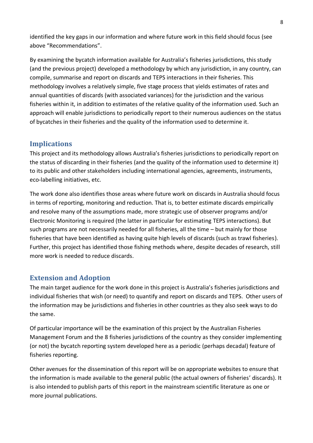identified the key gaps in our information and where future work in this field should focus (see above "Recommendations".

By examining the bycatch information available for Australia's fisheries jurisdictions, this study (and the previous project) developed a methodology by which any jurisdiction, in any country, can compile, summarise and report on discards and TEPS interactions in their fisheries. This methodology involves a relatively simple, five stage process that yields estimates of rates and annual quantities of discards (with associated variances) for the jurisdiction and the various fisheries within it, in addition to estimates of the relative quality of the information used. Such an approach will enable jurisdictions to periodically report to their numerous audiences on the status of bycatches in their fisheries and the quality of the information used to determine it.

## <span id="page-7-0"></span>**Implications**

This project and its methodology allows Australia's fisheries jurisdictions to periodically report on the status of discarding in their fisheries (and the quality of the information used to determine it) to its public and other stakeholders including international agencies, agreements, instruments, eco-labelling initiatives, etc.

The work done also identifies those areas where future work on discards in Australia should focus in terms of reporting, monitoring and reduction. That is, to better estimate discards empirically and resolve many of the assumptions made, more strategic use of observer programs and/or Electronic Monitoring is required (the latter in particular for estimating TEPS interactions). But such programs are not necessarily needed for all fisheries, all the time – but mainly for those fisheries that have been identified as having quite high levels of discards (such as trawl fisheries). Further, this project has identified those fishing methods where, despite decades of research, still more work is needed to reduce discards.

#### <span id="page-7-1"></span>**Extension and Adoption**

The main target audience for the work done in this project is Australia's fisheries jurisdictions and individual fisheries that wish (or need) to quantify and report on discards and TEPS. Other users of the information may be jurisdictions and fisheries in other countries as they also seek ways to do the same.

Of particular importance will be the examination of this project by the Australian Fisheries Management Forum and the 8 fisheries jurisdictions of the country as they consider implementing (or not) the bycatch reporting system developed here as a periodic (perhaps decadal) feature of fisheries reporting.

Other avenues for the dissemination of this report will be on appropriate websites to ensure that the information is made available to the general public (the actual owners of fisheries' discards). It is also intended to publish parts of this report in the mainstream scientific literature as one or more journal publications.